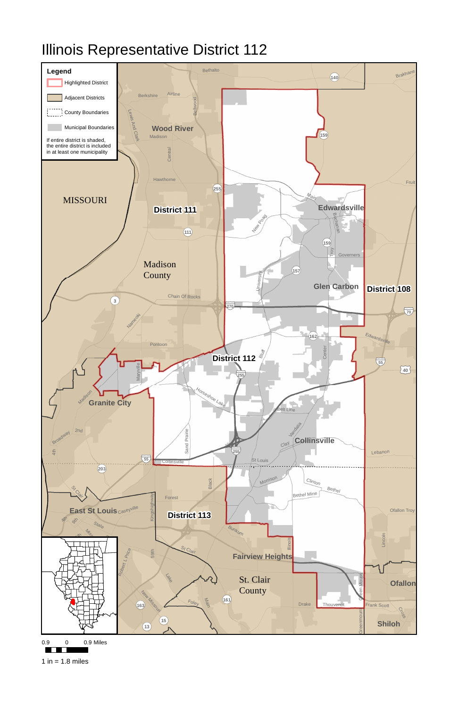

0.9 0.9 Miles

<u>ta da ba</u>

1 in  $= 1.8$  miles

## Illinois Representative District 112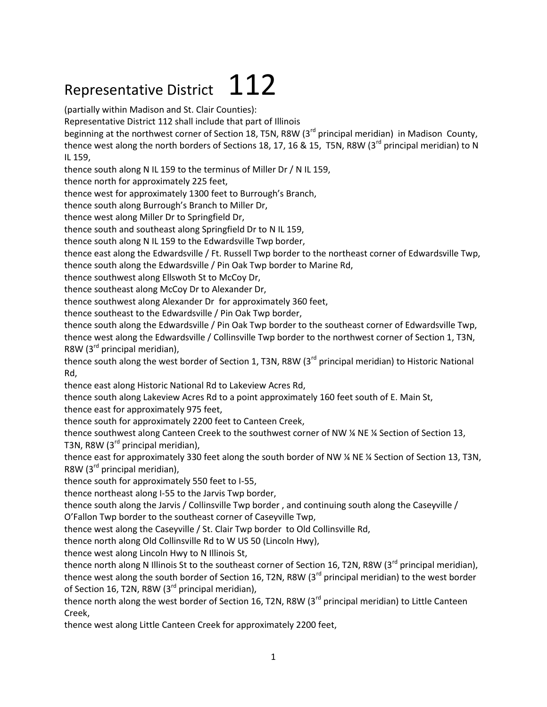## Representative District  $112$

(partially within Madison and St. Clair Counties):

Representative District 112 shall include that part of Illinois

beginning at the northwest corner of Section 18, T5N, R8W (3<sup>rd</sup> principal meridian) in Madison County, thence west along the north borders of Sections 18, 17, 16 & 15, T5N, R8W (3<sup>rd</sup> principal meridian) to N IL 159,

thence south along N IL 159 to the terminus of Miller Dr / N IL 159,

thence north for approximately 225 feet,

thence west for approximately 1300 feet to Burrough's Branch,

thence south along Burrough's Branch to Miller Dr,

thence west along Miller Dr to Springfield Dr,

thence south and southeast along Springfield Dr to N IL 159,

thence south along N IL 159 to the Edwardsville Twp border,

thence east along the Edwardsville / Ft. Russell Twp border to the northeast corner of Edwardsville Twp, thence south along the Edwardsville / Pin Oak Twp border to Marine Rd,

thence southwest along Ellswoth St to McCoy Dr,

thence southeast along McCoy Dr to Alexander Dr,

thence southwest along Alexander Dr for approximately 360 feet,

thence southeast to the Edwardsville / Pin Oak Twp border,

thence south along the Edwardsville / Pin Oak Twp border to the southeast corner of Edwardsville Twp, thence west along the Edwardsville / Collinsville Twp border to the northwest corner of Section 1, T3N, R8W (3rd principal meridian),

thence south along the west border of Section 1, T3N, R8W (3<sup>rd</sup> principal meridian) to Historic National Rd,

thence east along Historic National Rd to Lakeview Acres Rd,

thence south along Lakeview Acres Rd to a point approximately 160 feet south of E. Main St,

thence east for approximately 975 feet,

thence south for approximately 2200 feet to Canteen Creek,

thence southwest along Canteen Creek to the southwest corner of NW ¼ NE ¼ Section of Section 13, T3N, R8W (3<sup>rd</sup> principal meridian),

thence east for approximately 330 feet along the south border of NW ¼ NE ¼ Section of Section 13, T3N, R8W (3rd principal meridian),

thence south for approximately 550 feet to I-55,

thence northeast along I-55 to the Jarvis Twp border,

thence south along the Jarvis / Collinsville Twp border , and continuing south along the Caseyville / O'Fallon Twp border to the southeast corner of Caseyville Twp,

thence west along the Caseyville / St. Clair Twp border to Old Collinsville Rd,

thence north along Old Collinsville Rd to W US 50 (Lincoln Hwy),

thence west along Lincoln Hwy to N Illinois St,

thence north along N Illinois St to the southeast corner of Section 16, T2N, R8W (3<sup>rd</sup> principal meridian), thence west along the south border of Section 16, T2N, R8W ( $3<sup>rd</sup>$  principal meridian) to the west border of Section 16, T2N, R8W ( $3<sup>rd</sup>$  principal meridian),

thence north along the west border of Section 16, T2N, R8W (3<sup>rd</sup> principal meridian) to Little Canteen Creek,

thence west along Little Canteen Creek for approximately 2200 feet,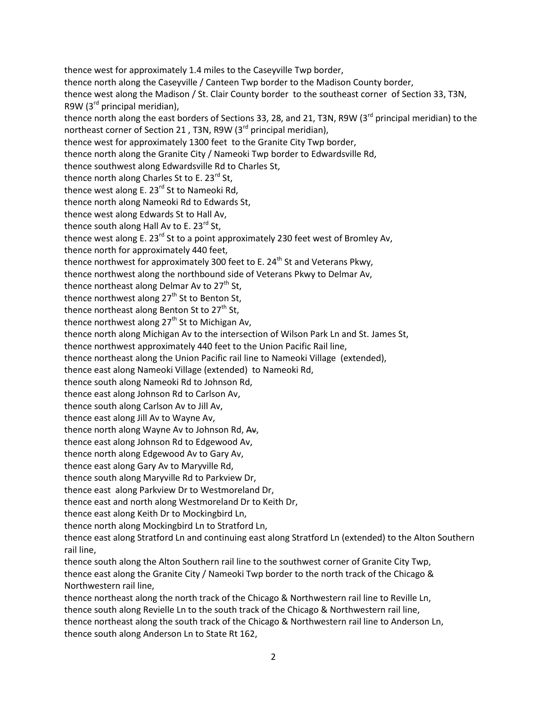thence west for approximately 1.4 miles to the Caseyville Twp border, thence north along the Caseyville / Canteen Twp border to the Madison County border, thence west along the Madison / St. Clair County border to the southeast corner of Section 33, T3N, R9W ( $3<sup>rd</sup>$  principal meridian), thence north along the east borders of Sections 33, 28, and 21, T3N, R9W (3 $^{rd}$  principal meridian) to the northeast corner of Section 21, T3N, R9W  $(3<sup>rd</sup>$  principal meridian), thence west for approximately 1300 feet to the Granite City Twp border, thence north along the Granite City / Nameoki Twp border to Edwardsville Rd, thence southwest along Edwardsville Rd to Charles St, thence north along Charles St to E. 23 $^{rd}$  St, thence west along E.  $23^{rd}$  St to Nameoki Rd, thence north along Nameoki Rd to Edwards St, thence west along Edwards St to Hall Av, thence south along Hall Av to E.  $23^{rd}$  St, thence west along E.  $23^{rd}$  St to a point approximately 230 feet west of Bromley Av, thence north for approximately 440 feet, thence northwest for approximately 300 feet to E. 24<sup>th</sup> St and Veterans Pkwy, thence northwest along the northbound side of Veterans Pkwy to Delmar Av, thence northeast along Delmar Av to  $27<sup>th</sup>$  St, thence northwest along  $27<sup>th</sup>$  St to Benton St, thence northeast along Benton St to  $27<sup>th</sup>$  St, thence northwest along  $27<sup>th</sup>$  St to Michigan Av, thence north along Michigan Av to the intersection of Wilson Park Ln and St. James St, thence northwest approximately 440 feet to the Union Pacific Rail line, thence northeast along the Union Pacific rail line to Nameoki Village (extended), thence east along Nameoki Village (extended) to Nameoki Rd, thence south along Nameoki Rd to Johnson Rd, thence east along Johnson Rd to Carlson Av, thence south along Carlson Av to Jill Av, thence east along Jill Av to Wayne Av, thence north along Wayne Av to Johnson Rd, Av, thence east along Johnson Rd to Edgewood Av, thence north along Edgewood Av to Gary Av, thence east along Gary Av to Maryville Rd, thence south along Maryville Rd to Parkview Dr, thence east along Parkview Dr to Westmoreland Dr, thence east and north along Westmoreland Dr to Keith Dr, thence east along Keith Dr to Mockingbird Ln, thence north along Mockingbird Ln to Stratford Ln, thence east along Stratford Ln and continuing east along Stratford Ln (extended) to the Alton Southern rail line, thence south along the Alton Southern rail line to the southwest corner of Granite City Twp, thence east along the Granite City / Nameoki Twp border to the north track of the Chicago & Northwestern rail line, thence northeast along the north track of the Chicago & Northwestern rail line to Reville Ln, thence south along Revielle Ln to the south track of the Chicago & Northwestern rail line, thence northeast along the south track of the Chicago & Northwestern rail line to Anderson Ln,

thence south along Anderson Ln to State Rt 162,